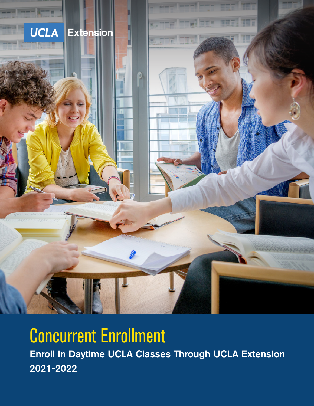

# Concurrent Enrollment

Enroll in Daytime UCLA Classes through UCLA Extension Enroll in Daytime UCLA Classes Through UCLA Extension 2021-2022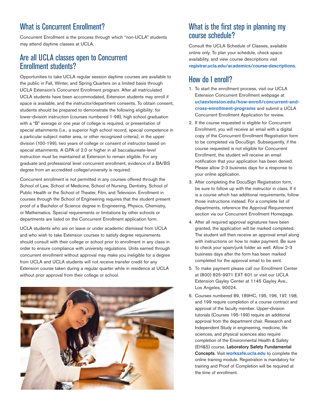# What is Concurrent Enrollment?

Concurrent Enrollment is the process through which "non-UCLA" students may attend daytime classes at UCLA.

## Are all UCLA classes open to Concurrent Enrollment students?

Opportunities to take UCLA regular session daytime courses are available to the public in Fall, Winter, and Spring Quarters on a limited basis through UCLA Extension's Concurrent Enrollment program. After all matriculated UCLA students have been accommodated, Extension students may enroll if space is available, and the instructor/department consents. To obtain consent, students should be prepared to demonstrate the following eligibility: for lower-division instruction (courses numbered 1-98), high school graduation with a "B" average or one year of college is required, or presentation of special attainments (i.e., a superior high school record, special competence in a particular subject matter area, or other recognized criteria); in the upper division (100-199), two years of college or consent of instructor based on special attainments. A GPA of 2.0 or higher in all baccalaureate-level instruction must be maintained at Extension to remain eligible. For any graduate and professional level concurrent enrollment, evidence of a BA/BS degree from an accredited college/university is required.

Concurrent enrollment is not permitted in any courses offered through the School of Law, School of Medicine, School of Nursing, Dentistry, School of Public Health or the School of Theater, Film, and Television. Enrollment in courses through the School of Engineering requires that the student present proof of a Bachelor of Science degree in Engineering, Physics, Chemistry, or Mathematics. Special requirements or limitations by other schools or departments are listed on the Concurrent Enrollment application form.

UCLA students who are on leave or under academic dismissal from UCLA and who wish to take Extension courses to satisfy degree requirements should consult with their college or school prior to enrollment in any class in order to ensure compliance with university regulations. Units earned through concurrent enrollment without approval may make you ineligible for a degree from UCLA and UCLA students will not receive transfer credit for any Extension course taken during a regular quarter while in residence at UCLA without prior approval from their college or school.



# What is the first step in planning my course schedule?

Consult the UCLA Schedule of Classes, available online only. To plan your schedule, check space availability, and view course descriptions visit **[registrar.ucla.edu/](https://www.registrar.ucla.edu/academics/course-descriptions)academics/course-descriptions**.

## How do I enroll?

- 1. To start the enrollment process, visit our UCLA Extension Concurrent Enrollment webpage at **[uclaextension.edu/how-enroll/concurrent-and](https://www.uclaextension.edu/how-enroll/concurrent-and-cross-enrollment-programs)[cross-enrollment-programs](https://www.uclaextension.edu/how-enroll/concurrent-and-cross-enrollment-programs)** and submit a UCLA Concurrent Enrollment Application for review.
- 2. If the course requested is eligible for Concurrent Enrollment, you will receive an email with a digital copy of the Concurrent Enrollment Registration form to be completed via DocuSign. Subsequently, if the course requested is not eligible for Concurrent Enrollment, the student will receive an email notification that your application has been denied. Please allow 2-3 business days for a response to your online application.
- 3. After completing the DocuSign Registration form, be sure to follow up with the instructor in class. If it is a course which has additional requirements, follow those instructions instead. For a complete list of departments, reference the Approval Requirement section via our Concurrent Enrollment Homepage.
- 4. After all required approval signatures have been granted, the application will be marked completed. The student will then receive an approval email along with instructions on how to make payment. Be sure to check your spam/junk folder as well. Allow 2-3 business days after the form has been marked completed for the approval email to be sent.
- 5. To make payment please call our Enrollment Center at (800) 825-9971 EXT 601 or visit our UCLA Extension Gayley Center at 1145 Gayley Ave., Los Angeles, 90024.
- 6. Courses numbered 89, 189HC, 195, 196, 197, 198, and 199 require completion of a course contract and approval of the faculty member. Upper-division tutorials (Courses 195-199) require an additional approval from the department chair. Research and Independent Study in engineering, medicine, life sciences, and physical sciences also require completion of the Environmental Health & Safety (EH&S) course, Laboratory Safety Fundamental Concepts. Visit **[worksafe.ucla.edu](https://worksafe.ucla.edu/ability/Programs/Standard/Control/elmLearner.wml?portalid=Learnerweb)** to complete the online training module. Registration is mandatory for training and Proof of Completion will be required at the time of enrollment.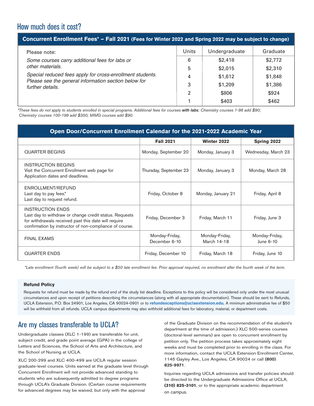## How much does it cost?

| Concurrent Enrollment Fees* - Fall 2021 (Fees for Winter 2022 and Spring 2022 may be subject to change)                                                                                                     |                |               |          |  |
|-------------------------------------------------------------------------------------------------------------------------------------------------------------------------------------------------------------|----------------|---------------|----------|--|
| Please note:                                                                                                                                                                                                | Units          | Undergraduate | Graduate |  |
| Some courses carry additional fees for labs or<br>other materials.<br>Special reduced fees apply for cross-enrollment students.<br>Please see the general information section below for<br>further details. | 6              | \$2,418       | \$2,772  |  |
|                                                                                                                                                                                                             | 5              | \$2,015       | \$2,310  |  |
|                                                                                                                                                                                                             | 4              | \$1,612       | \$1,848  |  |
|                                                                                                                                                                                                             | 3              | \$1,209       | \$1,386  |  |
|                                                                                                                                                                                                             | $\overline{2}$ | \$806         | \$924    |  |
|                                                                                                                                                                                                             |                | \$403         | \$462    |  |

*\*These fees do not apply to students enrolled in special programs. Additional fees for courses with labs: Chemistry courses 1-98 add \$90; Chemistry courses 100-199 add \$350; MIMG courses add \$90.*

| Open Door/Concurrent Enrollment Calendar for the 2021-2022 Academic Year                                                                                                                             |                                 |                               |                             |  |  |
|------------------------------------------------------------------------------------------------------------------------------------------------------------------------------------------------------|---------------------------------|-------------------------------|-----------------------------|--|--|
|                                                                                                                                                                                                      | <b>Fall 2021</b>                | Winter 2022                   | Spring 2022                 |  |  |
| <b>QUARTER BEGINS</b>                                                                                                                                                                                | Monday, September 20            | Monday, January 3             | Wednesday, March 23         |  |  |
| <b>INSTRUCTION BEGINS</b><br>Visit the Concurrent Enrollment web page for<br>Application dates and deadlines.                                                                                        | Thursday, September 23          | Monday, January 3             | Monday, March 28            |  |  |
| ENROLLMENT/REFUND<br>Last day to pay fees.*<br>Last day to request refund.                                                                                                                           | Friday, October 8               | Monday, January 21            | Friday, April 8             |  |  |
| <b>INSTRUCTION ENDS</b><br>Last day to withdraw or change credit status. Requests<br>for withdrawals received past this date will require<br>confirmation by instructor of non-compliance of course. | Friday, December 3              | Friday, March 11              | Friday, June 3              |  |  |
| <b>FINAL EXAMS</b>                                                                                                                                                                                   | Monday-Friday,<br>December 6-10 | Monday-Friday,<br>March 14-18 | Monday-Friday,<br>June 6-10 |  |  |
| <b>QUARTER ENDS</b>                                                                                                                                                                                  | Friday, December 10             | Friday, March 18              | Friday, June 10             |  |  |

*\*Late enrollment (fourth week) will be subject to a \$50 late enrollment fee. Prior approval required, no enrollment after the fourth week of the term.*

#### **Refund Policy**

Requests for refund must be made by the refund end of the study list deadline. Exceptions to this policy will be considered only under the most unusual circumstances and upon receipt of petitions describing the circumstances (along with all appropriate documentation). These should be sent to Refunds, UCLA Extension, P.O. Box 24901, Los Angeles, CA 90024-0901 or to **[refundexceptions@uclaextension.edu](mailto:refundexceptions@uclaextension.edu)***.* A minimum administrative fee of \$50 will be withheld from all refunds. UCLA campus departments may also withhold additional fees for laboratory, material, or department costs.

## Are my classes transferable to UCLA?

Undergraduate classes (XLC 1-199) are transferable for unit, subject credit, and grade point average (GPA) in the college of Letters and Sciences, the School of Arts and Architecture, and the School of Nursing at UCLA.

XLC 200-299 and XLC 400-499 are UCLA regular session graduate-level courses. Units earned at the graduate level through Concurrent Enrollment will not provide advanced standing to students who are subsequently admitted to degree programs through UCLA's Graduate Division. (Certain course requirements for advanced degrees may be waived, but only with the approval

of the Graduate Division on the recommendation of the student's department at the time of admission.) XLC 500-series courses (doctoral-level seminars) are open to concurrent enrollment by petition only. The petition process takes approximately eight weeks and must be completed prior to enrolling in the class. For more information, contact the UCLA Extension Enrollment Center, 1145 Gayley Ave., Los Angeles, CA 90024 or call [\(800\)](tel:3108259971)  [825-9971](tel:3108259971).

Inquiries regarding UCLA admissions and transfer policies should be directed to the Undergraduate Admissions Office at UCLA, **[\(310\) 825-3101](tel:3108253101)**, or to the appropriate academic department on campus.